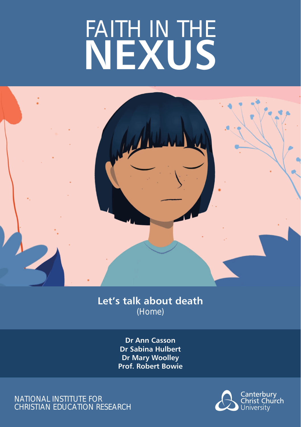# FAITH IN THE **NEXUS**



# **Let's talk about death**  (Home)

**Dr Ann Casson Dr Sabina Hulbert Dr Mary Woolley Prof. Robert Bowie**

NATIONAL INSTITUTE FOR CHRISTIAN EDUCATION RESEARCH

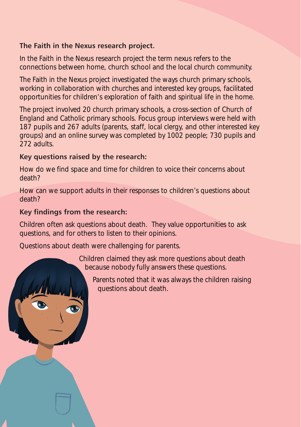#### **The Faith in the Nexus research project.**

In the Faith in the Nexus research project the term nexus refers to the connections between home, church school and the local church community.

The Faith in the Nexus project investigated the ways church primary schools, working in collaboration with churches and interested key groups, facilitated opportunities for children's exploration of faith and spiritual life in the home.

The project involved 20 church primary schools, a cross-section of Church of England and Catholic primary schools. Focus group interviews were held with 187 pupils and 267 adults (parents, staff, local clergy, and other interested key groups) and an online survey was completed by 1002 people; 730 pupils and 272 adults.

#### **Key questions raised by the research:**

How do we find space and time for children to voice their concerns about death?

How can we support adults in their responses to children's questions about death?

#### **Key findings from the research:**

Children often ask questions about death. They value opportunities to ask questions, and for others to listen to their opinions.

Questions about death were challenging for parents.

Children claimed they ask more questions about death because nobody fully answers these questions.

Parents noted that it was always the children raising questions about death.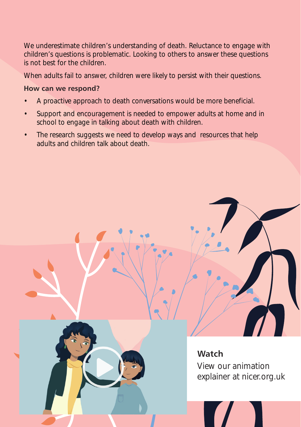We underestimate children's understanding of death. Reluctance to engage with children's questions is problematic. Looking to others to answer these questions is not best for the children.

When adults fail to answer, children were likely to persist with their questions.

#### **How can we respond?**

- A proactive approach to death conversations would be more beneficial.
- Support and encouragement is needed to empower adults at home and in school to engage in talking about death with children.
- The research suggests we need to develop ways and resources that help adults and children talk about death.



View our animation explainer at nicer.org.uk